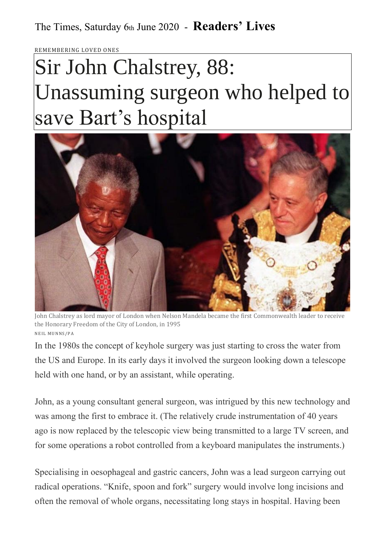REMEMBERING LOVED ONE

## Sir John Chalstrey, 88: Unassuming surgeon who helped to save Bart's hospital



John Chalstrey as lord mayor of London when Nelson Mandela became the first Commonwealth leader to receive the Honorary Freedom of the City of London, in 1995 NEIL M UNNS / P A

In the 1980s the concept of keyhole surgery was just starting to cross the water from the US and Europe. In its early days it involved the surgeon looking down a telescope held with one hand, or by an assistant, while operating.

John, as a young consultant general surgeon, was intrigued by this new technology and was among the first to embrace it. (The relatively crude instrumentation of 40 years ago is now replaced by the telescopic view being transmitted to a large TV screen, and for some operations a robot controlled from a keyboard manipulates the instruments.)

Specialising in oesophageal and gastric cancers, John was a lead surgeon carrying out radical operations. "Knife, spoon and fork" surgery would involve long incisions and often the removal of whole organs, necessitating long stays in hospital. Having been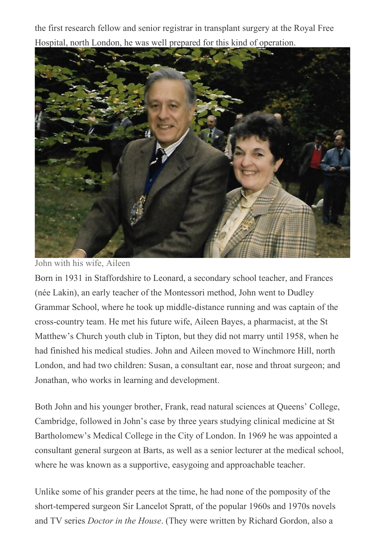the first research fellow and senior registrar in transplant surgery at the Royal Free Hospital, north London, he was well prepared for this kind of operation.



John with his wife, Aileen

Born in 1931 in Staffordshire to Leonard, a secondary school teacher, and Frances (née Lakin), an early teacher of the Montessori method, John went to Dudley Grammar School, where he took up middle-distance running and was captain of the cross-country team. He met his future wife, Aileen Bayes, a pharmacist, at the St Matthew's Church youth club in Tipton, but they did not marry until 1958, when he had finished his medical studies. John and Aileen moved to Winchmore Hill, north London, and had two children: Susan, a consultant ear, nose and throat surgeon; and Jonathan, who works in learning and development.

Both John and his younger brother, Frank, read natural sciences at Queens' College, Cambridge, followed in John's case by three years studying clinical medicine at St Bartholomew's Medical College in the City of London. In 1969 he was appointed a consultant general surgeon at Barts, as well as a senior lecturer at the medical school, where he was known as a supportive, easygoing and approachable teacher.

Unlike some of his grander peers at the time, he had none of the pomposity of the short-tempered surgeon Sir Lancelot Spratt, of the popular 1960s and 1970s novels and TV series *Doctor in the House*. (They were written by Richard Gordon, also a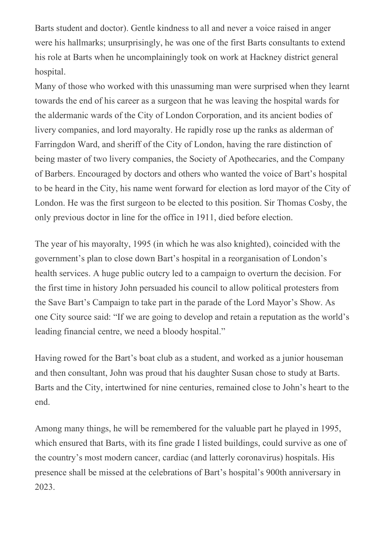Barts student and doctor). Gentle kindness to all and never a voice raised in anger were his hallmarks; unsurprisingly, he was one of the first Barts consultants to extend his role at Barts when he uncomplainingly took on work at Hackney district general hospital.

Many of those who worked with this unassuming man were surprised when they learnt towards the end of his career as a surgeon that he was leaving the hospital wards for the aldermanic wards of the City of London Corporation, and its ancient bodies of livery companies, and lord mayoralty. He rapidly rose up the ranks as alderman of Farringdon Ward, and sheriff of the City of London, having the rare distinction of being master of two livery companies, the Society of Apothecaries, and the Company of Barbers. Encouraged by doctors and others who wanted the voice of Bart's hospital to be heard in the City, his name went forward for election as lord mayor of the City of London. He was the first surgeon to be elected to this position. Sir Thomas Cosby, the only previous doctor in line for the office in 1911, died before election.

The year of his mayoralty, 1995 (in which he was also knighted), coincided with the government's plan to close down Bart's hospital in a reorganisation of London's health services. A huge public outcry led to a campaign to overturn the decision. For the first time in history John persuaded his council to allow political protesters from the Save Bart's Campaign to take part in the parade of the Lord Mayor's Show. As one City source said: "If we are going to develop and retain a reputation as the world's leading financial centre, we need a bloody hospital."

Having rowed for the Bart's boat club as a student, and worked as a junior houseman and then consultant, John was proud that his daughter Susan chose to study at Barts. Barts and the City, intertwined for nine centuries, remained close to John's heart to the end.

Among many things, he will be remembered for the valuable part he played in 1995, which ensured that Barts, with its fine grade I listed buildings, could survive as one of the country's most modern cancer, cardiac (and latterly coronavirus) hospitals. His presence shall be missed at the celebrations of Bart's hospital's 900th anniversary in 2023.